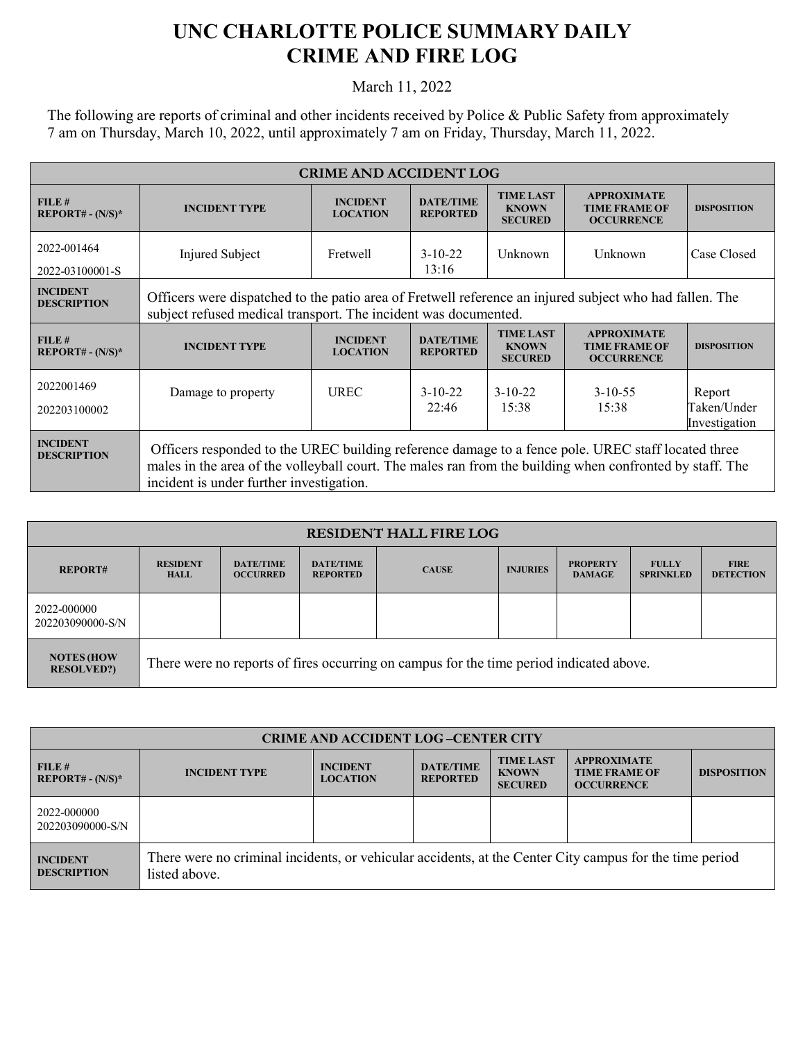## **UNC CHARLOTTE POLICE SUMMARY DAILY CRIME AND FIRE LOG**

March 11, 2022

The following are reports of criminal and other incidents received by Police & Public Safety from approximately 7 am on Thursday, March 10, 2022, until approximately 7 am on Friday, Thursday, March 11, 2022.

| <b>CRIME AND ACCIDENT LOG</b>         |                                                                                                                                                                                                                                                            |                                    |                                     |                                                    |                                                                 |                                        |  |
|---------------------------------------|------------------------------------------------------------------------------------------------------------------------------------------------------------------------------------------------------------------------------------------------------------|------------------------------------|-------------------------------------|----------------------------------------------------|-----------------------------------------------------------------|----------------------------------------|--|
| FILE#<br>$REPORT# - (N/S)*$           | <b>INCIDENT TYPE</b>                                                                                                                                                                                                                                       | <b>INCIDENT</b><br><b>LOCATION</b> | <b>DATE/TIME</b><br><b>REPORTED</b> | <b>TIME LAST</b><br><b>KNOWN</b><br><b>SECURED</b> | <b>APPROXIMATE</b><br><b>TIME FRAME OF</b><br><b>OCCURRENCE</b> | <b>DISPOSITION</b>                     |  |
| 2022-001464<br>2022-03100001-S        | Injured Subject                                                                                                                                                                                                                                            | Fretwell                           | $3-10-22$<br>13:16                  | Unknown                                            | Unknown                                                         | Case Closed                            |  |
| <b>INCIDENT</b><br><b>DESCRIPTION</b> | Officers were dispatched to the patio area of Fretwell reference an injured subject who had fallen. The<br>subject refused medical transport. The incident was documented.                                                                                 |                                    |                                     |                                                    |                                                                 |                                        |  |
| FILE#<br>$REPORT# - (N/S)*$           | <b>INCIDENT TYPE</b>                                                                                                                                                                                                                                       | <b>INCIDENT</b><br><b>LOCATION</b> | <b>DATE/TIME</b><br><b>REPORTED</b> | <b>TIME LAST</b><br><b>KNOWN</b><br><b>SECURED</b> | <b>APPROXIMATE</b><br><b>TIME FRAME OF</b><br><b>OCCURRENCE</b> | <b>DISPOSITION</b>                     |  |
| 2022001469<br>202203100002            | Damage to property                                                                                                                                                                                                                                         | <b>UREC</b>                        | $3-10-22$<br>22:46                  | $3-10-22$<br>15:38                                 | $3 - 10 - 55$<br>15:38                                          | Report<br>Taken/Under<br>Investigation |  |
| <b>INCIDENT</b><br><b>DESCRIPTION</b> | Officers responded to the UREC building reference damage to a fence pole. UREC staff located three<br>males in the area of the volleyball court. The males ran from the building when confronted by staff. The<br>incident is under further investigation. |                                    |                                     |                                                    |                                                                 |                                        |  |

| <b>RESIDENT HALL FIRE LOG</b>          |                                                                                         |                                     |                                     |              |                 |                                  |                                  |                                 |
|----------------------------------------|-----------------------------------------------------------------------------------------|-------------------------------------|-------------------------------------|--------------|-----------------|----------------------------------|----------------------------------|---------------------------------|
| <b>REPORT#</b>                         | <b>RESIDENT</b><br><b>HALL</b>                                                          | <b>DATE/TIME</b><br><b>OCCURRED</b> | <b>DATE/TIME</b><br><b>REPORTED</b> | <b>CAUSE</b> | <b>INJURIES</b> | <b>PROPERTY</b><br><b>DAMAGE</b> | <b>FULLY</b><br><b>SPRINKLED</b> | <b>FIRE</b><br><b>DETECTION</b> |
| 2022-000000<br>202203090000-S/N        |                                                                                         |                                     |                                     |              |                 |                                  |                                  |                                 |
| <b>NOTES (HOW</b><br><b>RESOLVED?)</b> | There were no reports of fires occurring on campus for the time period indicated above. |                                     |                                     |              |                 |                                  |                                  |                                 |

| <b>CRIME AND ACCIDENT LOG-CENTER CITY</b> |                                                                                                                          |                                    |                                     |                                                    |                                                                 |                    |  |
|-------------------------------------------|--------------------------------------------------------------------------------------------------------------------------|------------------------------------|-------------------------------------|----------------------------------------------------|-----------------------------------------------------------------|--------------------|--|
| FILE#<br>$REPORT# - (N/S)*$               | <b>INCIDENT TYPE</b>                                                                                                     | <b>INCIDENT</b><br><b>LOCATION</b> | <b>DATE/TIME</b><br><b>REPORTED</b> | <b>TIME LAST</b><br><b>KNOWN</b><br><b>SECURED</b> | <b>APPROXIMATE</b><br><b>TIME FRAME OF</b><br><b>OCCURRENCE</b> | <b>DISPOSITION</b> |  |
| 2022-000000<br>202203090000-S/N           |                                                                                                                          |                                    |                                     |                                                    |                                                                 |                    |  |
| <b>INCIDENT</b><br><b>DESCRIPTION</b>     | There were no criminal incidents, or vehicular accidents, at the Center City campus for the time period<br>listed above. |                                    |                                     |                                                    |                                                                 |                    |  |